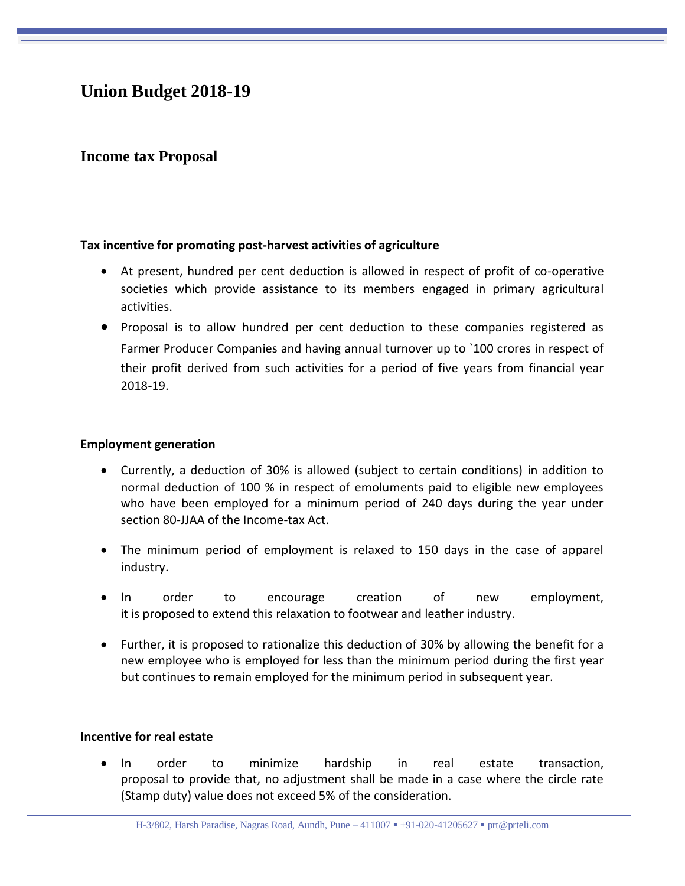# **Union Budget 2018-19**

# **Income tax Proposal**

#### **Tax incentive for promoting post-harvest activities of agriculture**

- At present, hundred per cent deduction is allowed in respect of profit of co-operative societies which provide assistance to its members engaged in primary agricultural activities.
- Proposal is to allow hundred per cent deduction to these companies registered as Farmer Producer Companies and having annual turnover up to `100 crores in respect of their profit derived from such activities for a period of five years from financial year 2018-19.

#### **Employment generation**

- Currently, a deduction of 30% is allowed (subject to certain conditions) in addition to normal deduction of 100 % in respect of emoluments paid to eligible new employees who have been employed for a minimum period of 240 days during the year under section 80-JJAA of the Income-tax Act.
- The minimum period of employment is relaxed to 150 days in the case of apparel industry.
- In order to encourage creation of new employment, it is proposed to extend this relaxation to footwear and leather industry.
- Further, it is proposed to rationalize this deduction of 30% by allowing the benefit for a new employee who is employed for less than the minimum period during the first year but continues to remain employed for the minimum period in subsequent year.

#### **Incentive for real estate**

 In order to minimize hardship in real estate transaction, proposal to provide that, no adjustment shall be made in a case where the circle rate (Stamp duty) value does not exceed 5% of the consideration.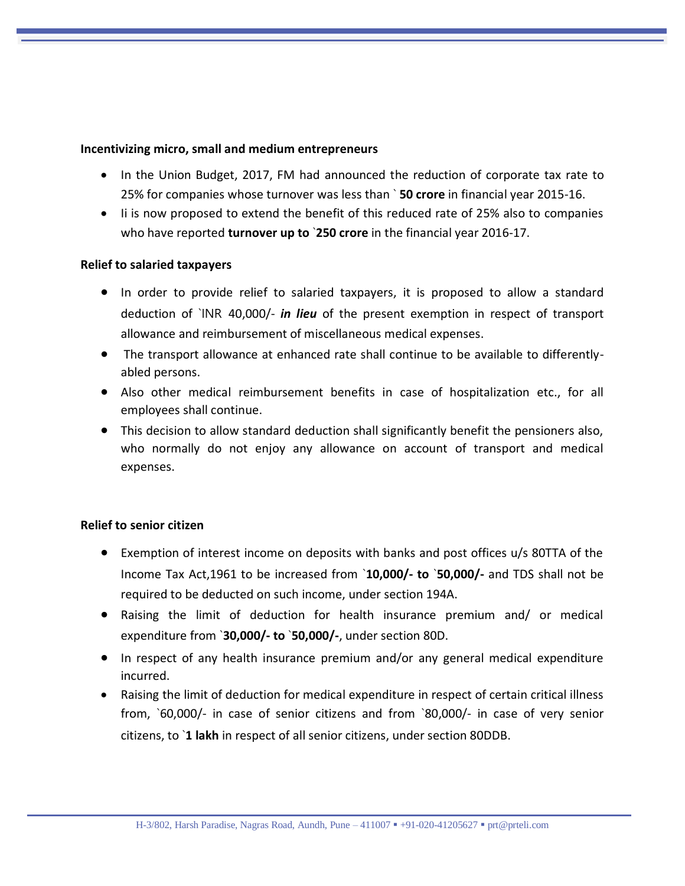#### **Incentivizing micro, small and medium entrepreneurs**

- In the Union Budget, 2017, FM had announced the reduction of corporate tax rate to 25% for companies whose turnover was less than ` **50 crore** in financial year 2015-16.
- Ii is now proposed to extend the benefit of this reduced rate of 25% also to companies who have reported **turnover up to** `**250 crore** in the financial year 2016-17.

#### **Relief to salaried taxpayers**

- In order to provide relief to salaried taxpayers, it is proposed to allow a standard deduction of `INR 40,000/- *in lieu* of the present exemption in respect of transport allowance and reimbursement of miscellaneous medical expenses.
- The transport allowance at enhanced rate shall continue to be available to differentlyabled persons.
- Also other medical reimbursement benefits in case of hospitalization etc., for all employees shall continue.
- This decision to allow standard deduction shall significantly benefit the pensioners also, who normally do not enjoy any allowance on account of transport and medical expenses.

#### **Relief to senior citizen**

- Exemption of interest income on deposits with banks and post offices u/s 80TTA of the Income Tax Act,1961 to be increased from `**10,000/- to** `**50,000/-** and TDS shall not be required to be deducted on such income, under section 194A.
- Raising the limit of deduction for health insurance premium and/ or medical expenditure from `**30,000/- to** `**50,000/-**, under section 80D.
- In respect of any health insurance premium and/or any general medical expenditure incurred.
- Raising the limit of deduction for medical expenditure in respect of certain critical illness from, `60,000/- in case of senior citizens and from `80,000/- in case of very senior citizens, to `**1 lakh** in respect of all senior citizens, under section 80DDB.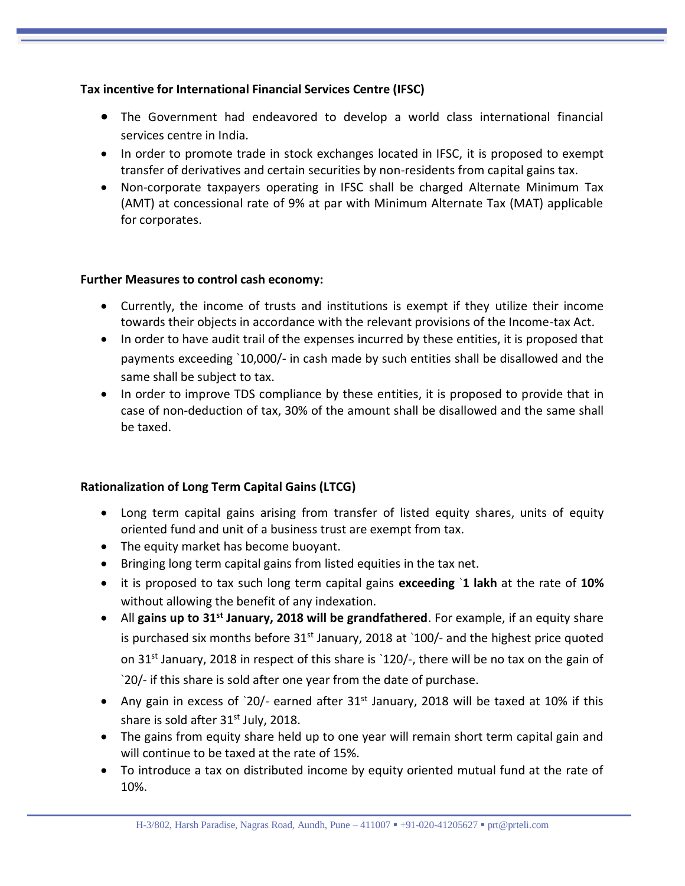## **Tax incentive for International Financial Services Centre (IFSC)**

- The Government had endeavored to develop a world class international financial services centre in India.
- In order to promote trade in stock exchanges located in IFSC, it is proposed to exempt transfer of derivatives and certain securities by non-residents from capital gains tax.
- Non-corporate taxpayers operating in IFSC shall be charged Alternate Minimum Tax (AMT) at concessional rate of 9% at par with Minimum Alternate Tax (MAT) applicable for corporates.

## **Further Measures to control cash economy:**

- Currently, the income of trusts and institutions is exempt if they utilize their income towards their objects in accordance with the relevant provisions of the Income-tax Act.
- In order to have audit trail of the expenses incurred by these entities, it is proposed that payments exceeding `10,000/- in cash made by such entities shall be disallowed and the same shall be subject to tax.
- In order to improve TDS compliance by these entities, it is proposed to provide that in case of non-deduction of tax, 30% of the amount shall be disallowed and the same shall be taxed.

## **Rationalization of Long Term Capital Gains (LTCG)**

- Long term capital gains arising from transfer of listed equity shares, units of equity oriented fund and unit of a business trust are exempt from tax.
- The equity market has become buoyant.
- Bringing long term capital gains from listed equities in the tax net.
- it is proposed to tax such long term capital gains **exceeding** `**1 lakh** at the rate of **10%**  without allowing the benefit of any indexation.
- All **gains up to 31st January, 2018 will be grandfathered**. For example, if an equity share is purchased six months before  $31<sup>st</sup>$  January, 2018 at `100/- and the highest price quoted on 31<sup>st</sup> January, 2018 in respect of this share is '120/-, there will be no tax on the gain of `20/- if this share is sold after one year from the date of purchase.
- Any gain in excess of  $20/$  earned after 31<sup>st</sup> January, 2018 will be taxed at 10% if this share is sold after  $31<sup>st</sup>$  July, 2018.
- The gains from equity share held up to one year will remain short term capital gain and will continue to be taxed at the rate of 15%.
- To introduce a tax on distributed income by equity oriented mutual fund at the rate of 10%.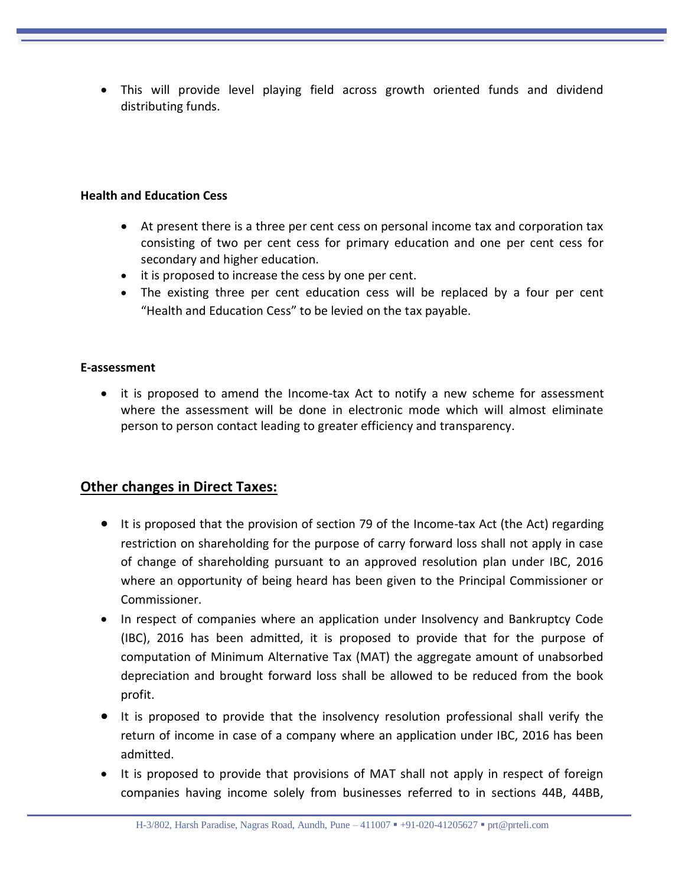This will provide level playing field across growth oriented funds and dividend distributing funds.

#### **Health and Education Cess**

- At present there is a three per cent cess on personal income tax and corporation tax consisting of two per cent cess for primary education and one per cent cess for secondary and higher education.
- it is proposed to increase the cess by one per cent.
- The existing three per cent education cess will be replaced by a four per cent "Health and Education Cess" to be levied on the tax payable.

#### **E-assessment**

• it is proposed to amend the Income-tax Act to notify a new scheme for assessment where the assessment will be done in electronic mode which will almost eliminate person to person contact leading to greater efficiency and transparency.

## **Other changes in Direct Taxes:**

- It is proposed that the provision of section 79 of the Income-tax Act (the Act) regarding restriction on shareholding for the purpose of carry forward loss shall not apply in case of change of shareholding pursuant to an approved resolution plan under IBC, 2016 where an opportunity of being heard has been given to the Principal Commissioner or Commissioner.
- In respect of companies where an application under Insolvency and Bankruptcy Code (IBC), 2016 has been admitted, it is proposed to provide that for the purpose of computation of Minimum Alternative Tax (MAT) the aggregate amount of unabsorbed depreciation and brought forward loss shall be allowed to be reduced from the book profit.
- It is proposed to provide that the insolvency resolution professional shall verify the return of income in case of a company where an application under IBC, 2016 has been admitted.
- It is proposed to provide that provisions of MAT shall not apply in respect of foreign companies having income solely from businesses referred to in sections 44B, 44BB,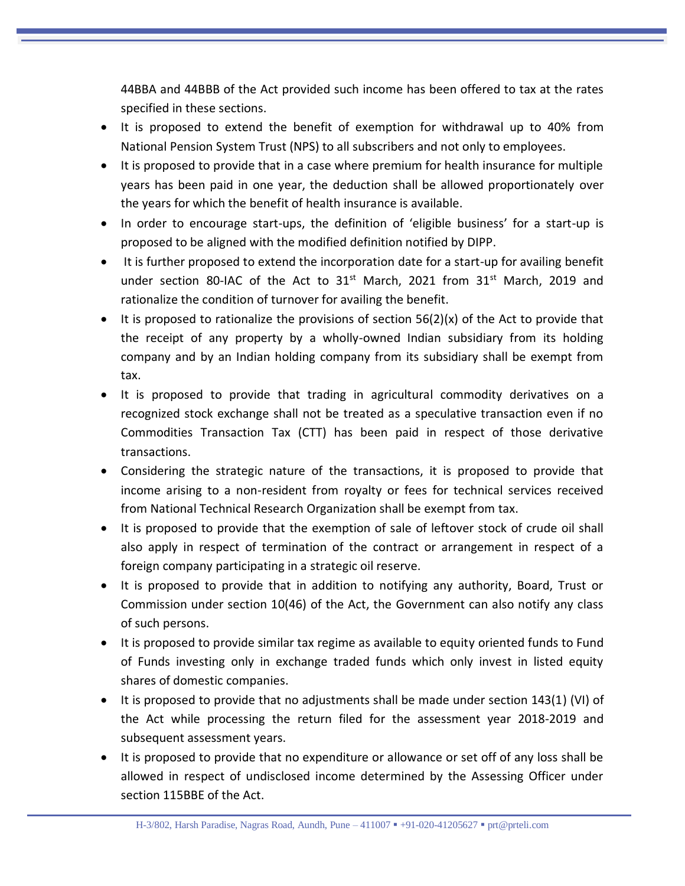44BBA and 44BBB of the Act provided such income has been offered to tax at the rates specified in these sections.

- It is proposed to extend the benefit of exemption for withdrawal up to 40% from National Pension System Trust (NPS) to all subscribers and not only to employees.
- It is proposed to provide that in a case where premium for health insurance for multiple years has been paid in one year, the deduction shall be allowed proportionately over the years for which the benefit of health insurance is available.
- In order to encourage start-ups, the definition of 'eligible business' for a start-up is proposed to be aligned with the modified definition notified by DIPP.
- It is further proposed to extend the incorporation date for a start-up for availing benefit under section 80-IAC of the Act to  $31^{st}$  March, 2021 from  $31^{st}$  March, 2019 and rationalize the condition of turnover for availing the benefit.
- It is proposed to rationalize the provisions of section  $56(2)(x)$  of the Act to provide that the receipt of any property by a wholly-owned Indian subsidiary from its holding company and by an Indian holding company from its subsidiary shall be exempt from tax.
- It is proposed to provide that trading in agricultural commodity derivatives on a recognized stock exchange shall not be treated as a speculative transaction even if no Commodities Transaction Tax (CTT) has been paid in respect of those derivative transactions.
- Considering the strategic nature of the transactions, it is proposed to provide that income arising to a non-resident from royalty or fees for technical services received from National Technical Research Organization shall be exempt from tax.
- It is proposed to provide that the exemption of sale of leftover stock of crude oil shall also apply in respect of termination of the contract or arrangement in respect of a foreign company participating in a strategic oil reserve.
- It is proposed to provide that in addition to notifying any authority, Board, Trust or Commission under section 10(46) of the Act, the Government can also notify any class of such persons.
- It is proposed to provide similar tax regime as available to equity oriented funds to Fund of Funds investing only in exchange traded funds which only invest in listed equity shares of domestic companies.
- It is proposed to provide that no adjustments shall be made under section 143(1) (VI) of the Act while processing the return filed for the assessment year 2018-2019 and subsequent assessment years.
- It is proposed to provide that no expenditure or allowance or set off of any loss shall be allowed in respect of undisclosed income determined by the Assessing Officer under section 115BBE of the Act.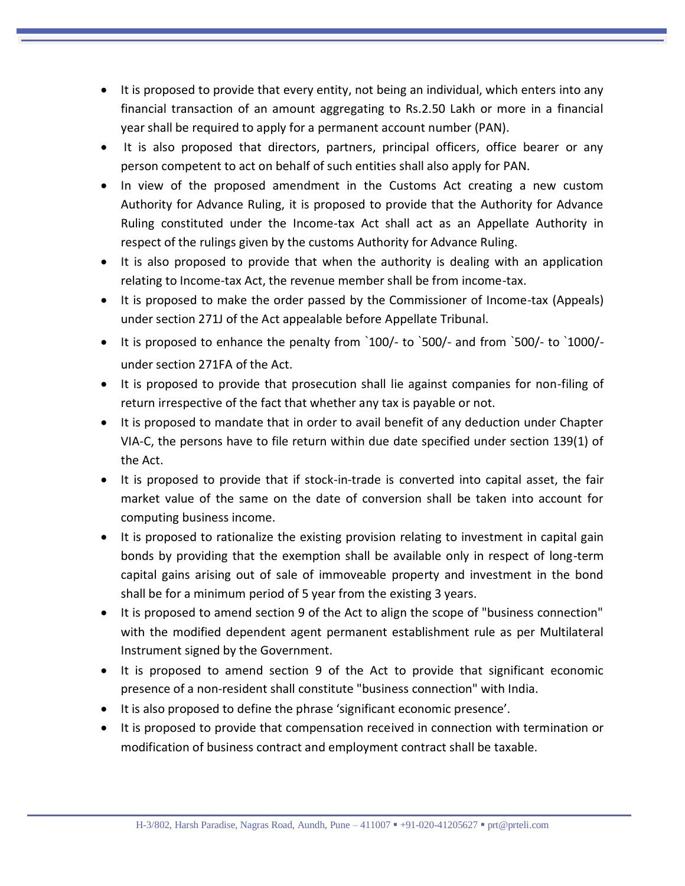- It is proposed to provide that every entity, not being an individual, which enters into any financial transaction of an amount aggregating to Rs.2.50 Lakh or more in a financial year shall be required to apply for a permanent account number (PAN).
- It is also proposed that directors, partners, principal officers, office bearer or any person competent to act on behalf of such entities shall also apply for PAN.
- In view of the proposed amendment in the Customs Act creating a new custom Authority for Advance Ruling, it is proposed to provide that the Authority for Advance Ruling constituted under the Income-tax Act shall act as an Appellate Authority in respect of the rulings given by the customs Authority for Advance Ruling.
- It is also proposed to provide that when the authority is dealing with an application relating to Income-tax Act, the revenue member shall be from income-tax.
- It is proposed to make the order passed by the Commissioner of Income-tax (Appeals) under section 271J of the Act appealable before Appellate Tribunal.
- It is proposed to enhance the penalty from `100/- to `500/- and from `500/- to `1000/under section 271FA of the Act.
- It is proposed to provide that prosecution shall lie against companies for non-filing of return irrespective of the fact that whether any tax is payable or not.
- It is proposed to mandate that in order to avail benefit of any deduction under Chapter VIA-C, the persons have to file return within due date specified under section 139(1) of the Act.
- It is proposed to provide that if stock-in-trade is converted into capital asset, the fair market value of the same on the date of conversion shall be taken into account for computing business income.
- It is proposed to rationalize the existing provision relating to investment in capital gain bonds by providing that the exemption shall be available only in respect of long-term capital gains arising out of sale of immoveable property and investment in the bond shall be for a minimum period of 5 year from the existing 3 years.
- It is proposed to amend section 9 of the Act to align the scope of "business connection" with the modified dependent agent permanent establishment rule as per Multilateral Instrument signed by the Government.
- It is proposed to amend section 9 of the Act to provide that significant economic presence of a non-resident shall constitute "business connection" with India.
- It is also proposed to define the phrase 'significant economic presence'.
- It is proposed to provide that compensation received in connection with termination or modification of business contract and employment contract shall be taxable.